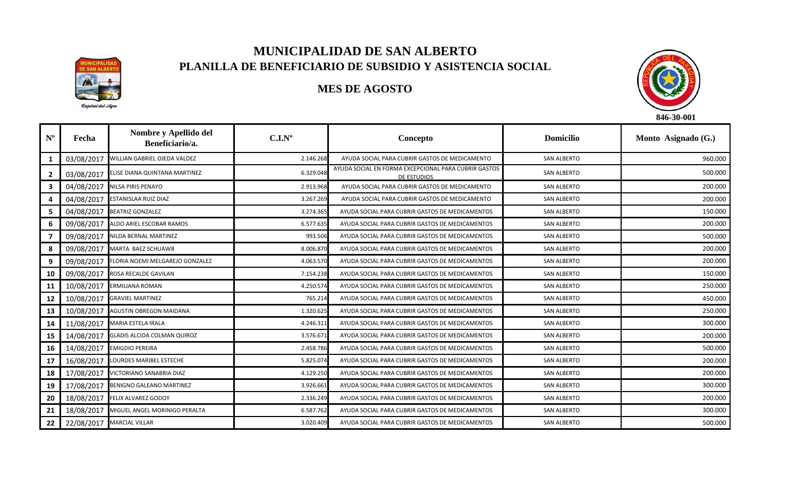

## **MUNICIPALIDAD DE SAN ALBERTO PLANILLA DE BENEFICIARIO DE SUBSIDIO Y ASISTENCIA SOCIAL**

## **MES DE AGOSTO**



| $\mathbf{N}^{\mathrm{o}}$ | Fecha      | Nombre y Apellido del<br>Beneficiario/a. | C.I.N <sup>o</sup> | Concepto                                                            | <b>Domicilio</b>   | Monto Asignado (G.) |
|---------------------------|------------|------------------------------------------|--------------------|---------------------------------------------------------------------|--------------------|---------------------|
| 1                         | 03/08/2017 | WILLIAN GABRIEL OJEDA VALDEZ             | 2.146.268          | AYUDA SOCIAL PARA CUBRIR GASTOS DE MEDICAMENTO                      | <b>SAN ALBERTO</b> | 960.000             |
| $\mathbf{2}$              | 03/08/2017 | ELISE DIANA QUINTANA MARTINEZ            | 6.329.048          | AYUDA SOCIAL EN FORMA EXCEPCIONAL PARA CUBRIR GASTOS<br>DE ESTUDIOS | <b>SAN ALBERTO</b> | 500.000             |
| 3                         | 04/08/2017 | <b>NILSA PIRIS PENAYO</b>                | 2.913.968          | AYUDA SOCIAL PARA CUBRIR GASTOS DE MEDICAMENTO                      | <b>SAN ALBERTO</b> | 200.000             |
| 4                         | 04/08/2017 | ESTANISLAA RUIZ DIAZ                     | 3.267.269          | AYUDA SOCIAL PARA CUBRIR GASTOS DE MEDICAMENTO                      | <b>SAN ALBERTO</b> | 200.000             |
| 5                         | 04/08/2017 | <b>BEATRIZ GONZALEZ</b>                  | 3.274.365          | AYUDA SOCIAL PARA CUBRIR GASTOS DE MEDICAMENTOS                     | <b>SAN ALBERTO</b> | 150.000             |
| 6                         | 09/08/2017 | ALDO ARIEL ESCOBAR RAMOS                 | 6.577.635          | AYUDA SOCIAL PARA CUBRIR GASTOS DE MEDICAMENTOS                     | <b>SAN ALBERTO</b> | 200.000             |
|                           | 09/08/2017 | NILDA BERNAL MARTINEZ                    | 993.506            | AYUDA SOCIAL PARA CUBRIR GASTOS DE MEDICAMENTOS                     | <b>SAN ALBERTO</b> | 500.000             |
| 8                         | 09/08/2017 | MARTA BAEZ SCHUAWB                       | 8.006.870          | AYUDA SOCIAL PARA CUBRIR GASTOS DE MEDICAMENTOS                     | <b>SAN ALBERTO</b> | 200.000             |
| 9                         | 09/08/2017 | FLORIA NOEMI MELGAREJO GONZALEZ          | 4.063.570          | AYUDA SOCIAL PARA CUBRIR GASTOS DE MEDICAMENTOS                     | <b>SAN ALBERTO</b> | 200.000             |
| 10                        | 09/08/2017 | ROSA RECALDE GAVILAN                     | 7.154.238          | AYUDA SOCIAL PARA CUBRIR GASTOS DE MEDICAMENTOS                     | <b>SAN ALBERTO</b> | 150.000             |
| 11                        | 10/08/2017 | <b>ERMILIANA ROMAN</b>                   | 4.250.574          | AYUDA SOCIAL PARA CUBRIR GASTOS DE MEDICAMENTOS                     | <b>SAN ALBERTO</b> | 250.000             |
| 12                        | 10/08/2017 | <b>GRAVIEL MARTINEZ</b>                  | 765.214            | AYUDA SOCIAL PARA CUBRIR GASTOS DE MEDICAMENTOS                     | <b>SAN ALBERTO</b> | 450.000             |
| 13                        | 10/08/2017 | <b>AGUSTIN OBREGON MAIDANA</b>           | 1.320.625          | AYUDA SOCIAL PARA CUBRIR GASTOS DE MEDICAMENTOS                     | <b>SAN ALBERTO</b> | 250.000             |
| 14                        |            | 11/08/2017 MARIA ESTELA IRALA            | 4.246.311          | AYUDA SOCIAL PARA CUBRIR GASTOS DE MEDICAMENTOS                     | <b>SAN ALBERTO</b> | 300.000             |
| 15                        | 14/08/2017 | <b>GLADIS ALCIDA COLMAN QUIROZ</b>       | 3.576.671          | AYUDA SOCIAL PARA CUBRIR GASTOS DE MEDICAMENTOS                     | <b>SAN ALBERTO</b> | 200.000             |
| 16                        | 14/08/2017 | <b>EMIGDIO PEREIRA</b>                   | 2.458.786          | AYUDA SOCIAL PARA CUBRIR GASTOS DE MEDICAMENTOS                     | <b>SAN ALBERTO</b> | 500.000             |
| 17                        | 16/08/2017 | LOURDES MARIBEL ESTECHE                  | 5.825.074          | AYUDA SOCIAL PARA CUBRIR GASTOS DE MEDICAMENTOS                     | <b>SAN ALBERTO</b> | 200.000             |
| 18                        | 17/08/2017 | VICTORIANO SANABRIA DIAZ                 | 4.129.250          | AYUDA SOCIAL PARA CUBRIR GASTOS DE MEDICAMENTOS                     | <b>SAN ALBERTO</b> | 200.000             |
| 19                        | 17/08/2017 | BENIGNO GALEANO MARTINEZ                 | 3.926.661          | AYUDA SOCIAL PARA CUBRIR GASTOS DE MEDICAMENTOS                     | <b>SAN ALBERTO</b> | 300.000             |
| 20                        | 18/08/2017 | <b>FELIX ALVAREZ GODOY</b>               | 2.336.249          | AYUDA SOCIAL PARA CUBRIR GASTOS DE MEDICAMENTOS                     | <b>SAN ALBERTO</b> | 200.000             |
| 21                        | 18/08/2017 | MIGUEL ANGEL MORINIGO PERALTA            | 6.587.762          | AYUDA SOCIAL PARA CUBRIR GASTOS DE MEDICAMENTOS                     | <b>SAN ALBERTO</b> | 300.000             |
| 22                        |            | 22/08/2017 MARCIAL VILLAR                | 3.020.409          | AYUDA SOCIAL PARA CUBRIR GASTOS DE MEDICAMENTOS                     | <b>SAN ALBERTO</b> | 500.000             |